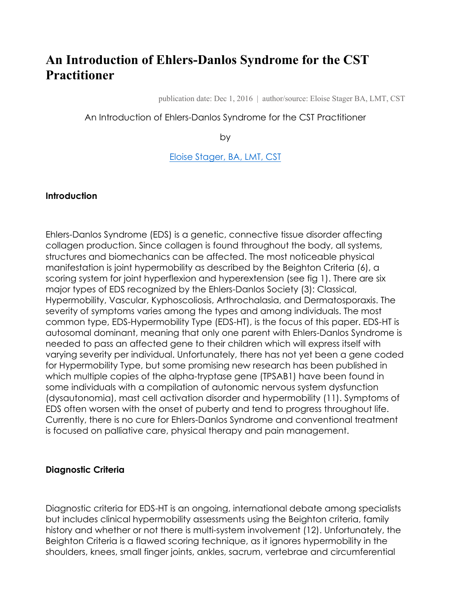# **An Introduction of Ehlers-Danlos Syndrome for the CST Practitioner**

publication date: Dec 1, 2016 | author/source: Eloise Stager BA, LMT, CST

#### An Introduction of Ehlers-Danlos Syndrome for the CST Practitioner

by

Eloise Stager, BA, LMT, CST

#### **Introduction**

Ehlers-Danlos Syndrome (EDS) is a genetic, connective tissue disorder affecting collagen production. Since collagen is found throughout the body, all systems, structures and biomechanics can be affected. The most noticeable physical manifestation is joint hypermobility as described by the Beighton Criteria (6), a scoring system for joint hyperflexion and hyperextension (see fig 1). There are six major types of EDS recognized by the Ehlers-Danlos Society (3): Classical, Hypermobility, Vascular, Kyphoscoliosis, Arthrochalasia, and Dermatosporaxis. The severity of symptoms varies among the types and among individuals. The most common type, EDS-Hypermobility Type (EDS-HT), is the focus of this paper. EDS-HT is autosomal dominant, meaning that only one parent with Ehlers-Danlos Syndrome is needed to pass an affected gene to their children which will express itself with varying severity per individual. Unfortunately, there has not yet been a gene coded for Hypermobility Type, but some promising new research has been published in which multiple copies of the alpha-tryptase gene (TPSAB1) have been found in some individuals with a compilation of autonomic nervous system dysfunction (dysautonomia), mast cell activation disorder and hypermobility (11). Symptoms of EDS often worsen with the onset of puberty and tend to progress throughout life. Currently, there is no cure for Ehlers-Danlos Syndrome and conventional treatment is focused on palliative care, physical therapy and pain management.

#### **Diagnostic Criteria**

Diagnostic criteria for EDS-HT is an ongoing, international debate among specialists but includes clinical hypermobility assessments using the Beighton criteria, family history and whether or not there is multi-system involvement (12). Unfortunately, the Beighton Criteria is a flawed scoring technique, as it ignores hypermobility in the shoulders, knees, small finger joints, ankles, sacrum, vertebrae and circumferential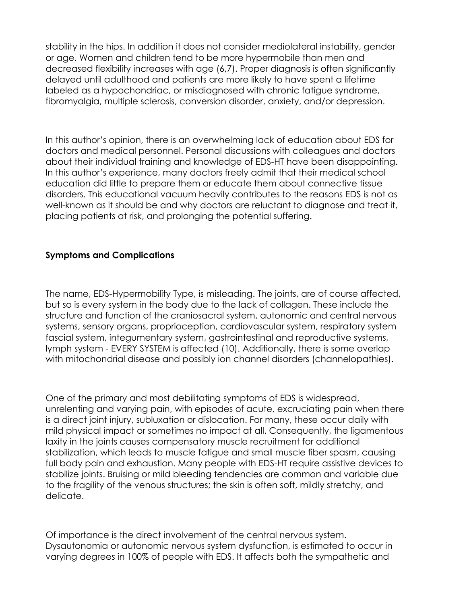stability in the hips. In addition it does not consider mediolateral instability, gender or age. Women and children tend to be more hypermobile than men and decreased flexibility increases with age (6,7). Proper diagnosis is often significantly delayed until adulthood and patients are more likely to have spent a lifetime labeled as a hypochondriac, or misdiagnosed with chronic fatigue syndrome, fibromyalgia, multiple sclerosis, conversion disorder, anxiety, and/or depression.

In this author's opinion, there is an overwhelming lack of education about EDS for doctors and medical personnel. Personal discussions with colleagues and doctors about their individual training and knowledge of EDS-HT have been disappointing. In this author's experience, many doctors freely admit that their medical school education did little to prepare them or educate them about connective tissue disorders. This educational vacuum heavily contributes to the reasons EDS is not as well-known as it should be and why doctors are reluctant to diagnose and treat it, placing patients at risk, and prolonging the potential suffering.

## **Symptoms and Complications**

The name, EDS-Hypermobility Type, is misleading. The joints, are of course affected, but so is every system in the body due to the lack of collagen. These include the structure and function of the craniosacral system, autonomic and central nervous systems, sensory organs, proprioception, cardiovascular system, respiratory system fascial system, integumentary system, gastrointestinal and reproductive systems, lymph system - EVERY SYSTEM is affected (10). Additionally, there is some overlap with mitochondrial disease and possibly ion channel disorders (channelopathies).

One of the primary and most debilitating symptoms of EDS is widespread, unrelenting and varying pain, with episodes of acute, excruciating pain when there is a direct joint injury, subluxation or dislocation. For many, these occur daily with mild physical impact or sometimes no impact at all. Consequently, the ligamentous laxity in the joints causes compensatory muscle recruitment for additional stabilization, which leads to muscle fatigue and small muscle fiber spasm, causing full body pain and exhaustion. Many people with EDS-HT require assistive devices to stabilize joints. Bruising or mild bleeding tendencies are common and variable due to the fragility of the venous structures; the skin is often soft, mildly stretchy, and delicate.

Of importance is the direct involvement of the central nervous system. Dysautonomia or autonomic nervous system dysfunction, is estimated to occur in varying degrees in 100% of people with EDS. It affects both the sympathetic and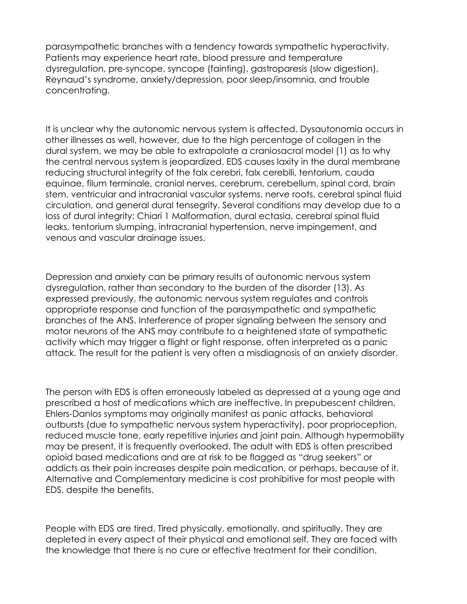parasympathetic branches with a tendency towards sympathetic hyperactivity. Patients may experience heart rate, blood pressure and temperature dysregulation, pre-syncope, syncope (fainting), gastroparesis (slow digestion), Reynaud's syndrome, anxiety/depression, poor sleep/insomnia, and trouble concentrating.

It is unclear why the autonomic nervous system is affected. Dysautonomia occurs in other illnesses as well, however, due to the high percentage of collagen in the dural system, we may be able to extrapolate a craniosacral model (1) as to why the central nervous system is jeopardized. EDS causes laxity in the dural membrane reducing structural integrity of the falx cerebri, falx cereblli, tentorium, cauda equinae, filum terminale, cranial nerves, cerebrum, cerebellum, spinal cord, brain stem, ventricular and intracranial vascular systems, nerve roots, cerebral spinal fluid circulation, and general dural tensegrity. Several conditions may develop due to a loss of dural integrity: Chiari 1 Malformation, dural ectasia, cerebral spinal fluid leaks, tentorium slumping, intracranial hypertension, nerve impingement, and venous and vascular drainage issues.

Depression and anxiety can be primary results of autonomic nervous system dysregulation, rather than secondary to the burden of the disorder (13). As expressed previously, the autonomic nervous system regulates and controls appropriate response and function of the parasympathetic and sympathetic branches of the ANS. Interference of proper signaling between the sensory and motor neurons of the ANS may contribute to a heightened state of sympathetic activity which may trigger a flight or fight response, often interpreted as a panic attack. The result for the patient is very often a misdiagnosis of an anxiety disorder.

The person with EDS is often erroneously labeled as depressed at a young age and prescribed a host of medications which are ineffective. In prepubescent children, Ehlers-Danlos symptoms may originally manifest as panic attacks, behavioral outbursts (due to sympathetic nervous system hyperactivity), poor proprioception, reduced muscle tone, early repetitive injuries and joint pain. Although hypermobility may be present, it is frequently overlooked. The adult with EDS is often prescribed opioid based medications and are at risk to be flagged as "drug seekers" or addicts as their pain increases despite pain medication, or perhaps, because of it. Alternative and Complementary medicine is cost prohibitive for most people with EDS, despite the benefits.

People with EDS are tired. Tired physically, emotionally, and spiritually. They are depleted in every aspect of their physical and emotional self. They are faced with the knowledge that there is no cure or effective treatment for their condition.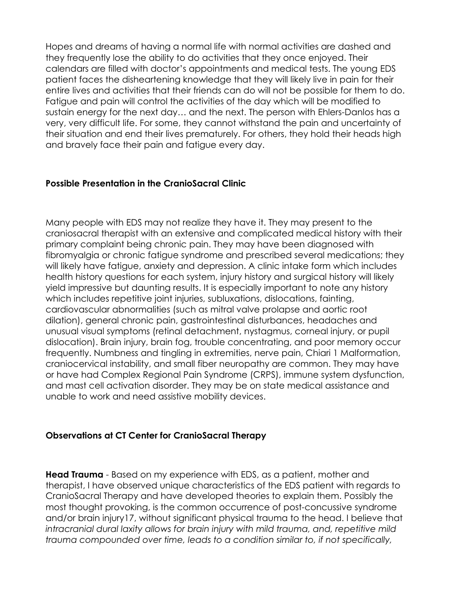Hopes and dreams of having a normal life with normal activities are dashed and they frequently lose the ability to do activities that they once enjoyed. Their calendars are filled with doctor's appointments and medical tests. The young EDS patient faces the disheartening knowledge that they will likely live in pain for their entire lives and activities that their friends can do will not be possible for them to do. Fatigue and pain will control the activities of the day which will be modified to sustain energy for the next day… and the next. The person with Ehlers-Danlos has a very, very difficult life. For some, they cannot withstand the pain and uncertainty of their situation and end their lives prematurely. For others, they hold their heads high and bravely face their pain and fatigue every day.

## **Possible Presentation in the CranioSacral Clinic**

Many people with EDS may not realize they have it. They may present to the craniosacral therapist with an extensive and complicated medical history with their primary complaint being chronic pain. They may have been diagnosed with fibromyalgia or chronic fatigue syndrome and prescribed several medications; they will likely have fatigue, anxiety and depression. A clinic intake form which includes health history questions for each system, injury history and surgical history will likely yield impressive but daunting results. It is especially important to note any history which includes repetitive joint injuries, subluxations, dislocations, fainting, cardiovascular abnormalities (such as mitral valve prolapse and aortic root dilation), general chronic pain, gastrointestinal disturbances, headaches and unusual visual symptoms (retinal detachment, nystagmus, corneal injury, or pupil dislocation). Brain injury, brain fog, trouble concentrating, and poor memory occur frequently. Numbness and tingling in extremities, nerve pain, Chiari 1 Malformation, craniocervical instability, and small fiber neuropathy are common. They may have or have had Complex Regional Pain Syndrome (CRPS), immune system dysfunction, and mast cell activation disorder. They may be on state medical assistance and unable to work and need assistive mobility devices.

#### **Observations at CT Center for CranioSacral Therapy**

**Head Trauma** - Based on my experience with EDS, as a patient, mother and therapist, I have observed unique characteristics of the EDS patient with regards to CranioSacral Therapy and have developed theories to explain them. Possibly the most thought provoking, is the common occurrence of post-concussive syndrome and/or brain injury17, without significant physical trauma to the head. I believe that *intracranial dural laxity allows for brain injury with mild trauma, and, repetitive mild trauma compounded over time, leads to a condition similar to, if not specifically,*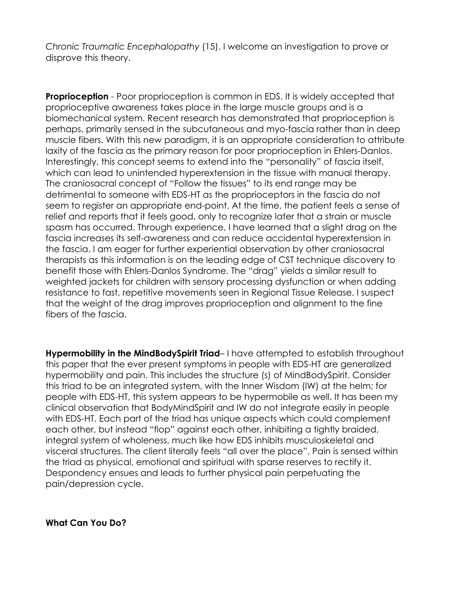*Chronic Traumatic Encephalopathy* (15). I welcome an investigation to prove or disprove this theory.

**Proprioception** - Poor proprioception is common in EDS. It is widely accepted that proprioceptive awareness takes place in the large muscle groups and is a biomechanical system. Recent research has demonstrated that proprioception is perhaps, primarily sensed in the subcutaneous and myo-fascia rather than in deep muscle fibers. With this new paradigm, it is an appropriate consideration to attribute laxity of the fascia as the primary reason for poor proprioception in Ehlers-Danlos. Interestingly, this concept seems to extend into the "personality" of fascia itself, which can lead to unintended hyperextension in the tissue with manual therapy. The craniosacral concept of "Follow the tissues" to its end range may be detrimental to someone with EDS-HT as the proprioceptors in the fascia do not seem to register an appropriate end-point. At the time, the patient feels a sense of relief and reports that it feels good, only to recognize later that a strain or muscle spasm has occurred. Through experience, I have learned that a slight drag on the fascia increases its self-awareness and can reduce accidental hyperextension in the fascia. I am eager for further experiential observation by other craniosacral therapists as this information is on the leading edge of CST technique discovery to benefit those with Ehlers-Danlos Syndrome. The "drag" yields a similar result to weighted jackets for children with sensory processing dysfunction or when adding resistance to fast, repetitive movements seen in Regional Tissue Release. I suspect that the weight of the drag improves proprioception and alignment to the fine fibers of the fascia.

**Hypermobility in the MindBodySpirit Triad**– I have attempted to establish throughout this paper that the ever present symptoms in people with EDS-HT are generalized hypermobility and pain. This includes the structure (s) of MindBodySpirit. Consider this triad to be an integrated system, with the Inner Wisdom (IW) at the helm; for people with EDS-HT, this system appears to be hypermobile as well. It has been my clinical observation that BodyMindSpirit and IW do not integrate easily in people with EDS-HT. Each part of the triad has unique aspects which could complement each other, but instead "flop" against each other, inhibiting a tightly braided, integral system of wholeness, much like how EDS inhibits musculoskeletal and visceral structures. The client literally feels "all over the place". Pain is sensed within the triad as physical, emotional and spiritual with sparse reserves to rectify it. Despondency ensues and leads to further physical pain perpetuating the pain/depression cycle.

**What Can You Do?**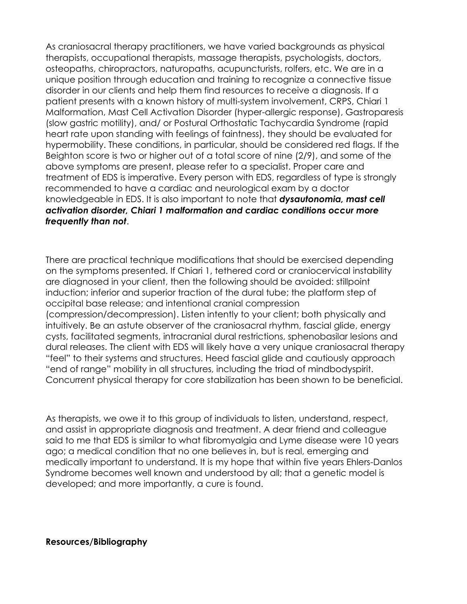As craniosacral therapy practitioners, we have varied backgrounds as physical therapists, occupational therapists, massage therapists, psychologists, doctors, osteopaths, chiropractors, naturopaths, acupuncturists, rolfers, etc. We are in a unique position through education and training to recognize a connective tissue disorder in our clients and help them find resources to receive a diagnosis. If a patient presents with a known history of multi-system involvement, CRPS, Chiari 1 Malformation, Mast Cell Activation Disorder (hyper-allergic response), Gastroparesis (slow gastric motility), and/ or Postural Orthostatic Tachycardia Syndrome (rapid heart rate upon standing with feelings of faintness), they should be evaluated for hypermobility. These conditions, in particular, should be considered red flags. If the Beighton score is two or higher out of a total score of nine (2/9), and some of the above symptoms are present, please refer to a specialist. Proper care and treatment of EDS is imperative. Every person with EDS, regardless of type is strongly recommended to have a cardiac and neurological exam by a doctor knowledgeable in EDS. It is also important to note that *dysautonomia, mast cell activation disorder, Chiari 1 malformation and cardiac conditions occur more frequently than not*.

There are practical technique modifications that should be exercised depending on the symptoms presented. If Chiari 1, tethered cord or craniocervical instability are diagnosed in your client, then the following should be avoided: stillpoint induction; inferior and superior traction of the dural tube; the platform step of occipital base release; and intentional cranial compression (compression/decompression). Listen intently to your client; both physically and intuitively. Be an astute observer of the craniosacral rhythm, fascial glide, energy cysts, facilitated segments, intracranial dural restrictions, sphenobasilar lesions and dural releases. The client with EDS will likely have a very unique craniosacral therapy "feel" to their systems and structures. Heed fascial glide and cautiously approach "end of range" mobility in all structures, including the triad of mindbodyspirit. Concurrent physical therapy for core stabilization has been shown to be beneficial.

As therapists, we owe it to this group of individuals to listen, understand, respect, and assist in appropriate diagnosis and treatment. A dear friend and colleague said to me that EDS is similar to what fibromyalgia and Lyme disease were 10 years ago; a medical condition that no one believes in, but is real, emerging and medically important to understand. It is my hope that within five years Ehlers-Danlos Syndrome becomes well known and understood by all; that a genetic model is developed; and more importantly, a cure is found.

**Resources/Bibliography**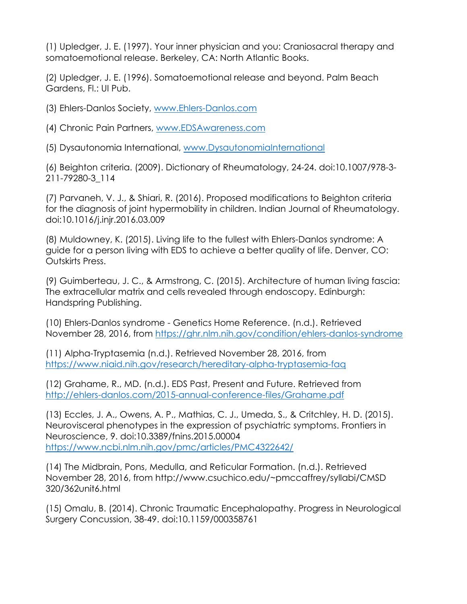(1) Upledger, J. E. (1997). Your inner physician and you: Craniosacral therapy and somatoemotional release. Berkeley, CA: North Atlantic Books.

(2) Upledger, J. E. (1996). Somatoemotional release and beyond. Palm Beach Gardens, Fl.: UI Pub.

(3) Ehlers-Danlos Society, www.Ehlers-Danlos.com

(4) Chronic Pain Partners, www.EDSAwareness.com

(5) Dysautonomia International, www.DysautonomiaInternational

(6) Beighton criteria. (2009). Dictionary of Rheumatology, 24-24. doi:10.1007/978-3- 211-79280-3\_114

(7) Parvaneh, V. J., & Shiari, R. (2016). Proposed modifications to Beighton criteria for the diagnosis of joint hypermobility in children. Indian Journal of Rheumatology. doi:10.1016/j.injr.2016.03.009

(8) Muldowney, K. (2015). Living life to the fullest with Ehlers-Danlos syndrome: A guide for a person living with EDS to achieve a better quality of life. Denver, CO: Outskirts Press.

(9) Guimberteau, J. C., & Armstrong, C. (2015). Architecture of human living fascia: The extracellular matrix and cells revealed through endoscopy. Edinburgh: Handspring Publishing.

(10) Ehlers-Danlos syndrome - Genetics Home Reference. (n.d.). Retrieved November 28, 2016, from https://ghr.nlm.nih.gov/condition/ehlers-danlos-syndrome

(11) Alpha-Tryptasemia (n.d.). Retrieved November 28, 2016, from https://www.niaid.nih.gov/research/hereditary-alpha-tryptasemia-faq

(12) Grahame, R., MD. (n.d.). EDS Past, Present and Future. Retrieved from http://ehlers-danlos.com/2015-annual-conference-files/Grahame.pdf

(13) Eccles, J. A., Owens, A. P., Mathias, C. J., Umeda, S., & Critchley, H. D. (2015). Neurovisceral phenotypes in the expression of psychiatric symptoms. Frontiers in Neuroscience, 9. doi:10.3389/fnins.2015.00004 https://www.ncbi.nlm.nih.gov/pmc/articles/PMC4322642/

(14) The Midbrain, Pons, Medulla, and Reticular Formation. (n.d.). Retrieved November 28, 2016, from http://www.csuchico.edu/~pmccaffrey/syllabi/CMSD 320/362unit6.html

(15) Omalu, B. (2014). Chronic Traumatic Encephalopathy. Progress in Neurological Surgery Concussion, 38-49. doi:10.1159/000358761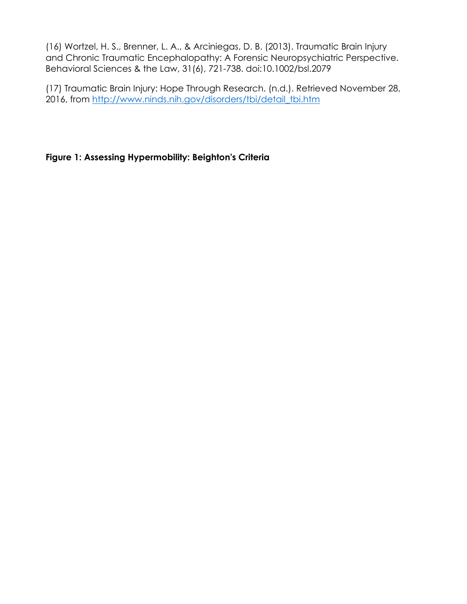(16) Wortzel, H. S., Brenner, L. A., & Arciniegas, D. B. (2013). Traumatic Brain Injury and Chronic Traumatic Encephalopathy: A Forensic Neuropsychiatric Perspective. Behavioral Sciences & the Law, 31(6), 721-738. doi:10.1002/bsl.2079

(17) Traumatic Brain Injury: Hope Through Research. (n.d.). Retrieved November 28, 2016, from http://www.ninds.nih.gov/disorders/tbi/detail\_tbi.htm

## **Figure 1: Assessing Hypermobility: Beighton's Criteria**